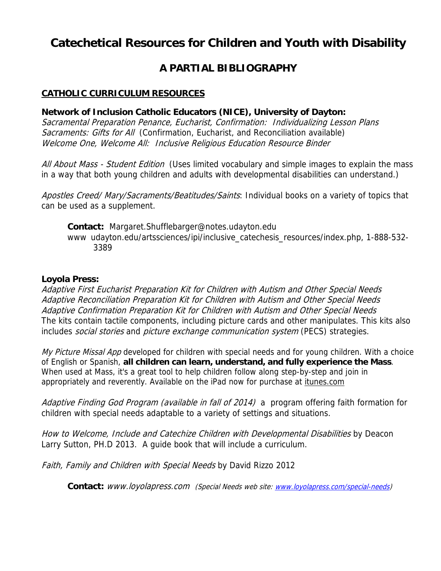# **Catechetical Resources for Children and Youth with Disability**

## **A PARTIAL BIBLIOGRAPHY**

#### **CATHOLIC CURRICULUM RESOURCES**

#### **Network of Inclusion Catholic Educators (NICE), University of Dayton:**

Sacramental Preparation Penance, Eucharist, Confirmation: Individualizing Lesson Plans Sacraments: Gifts for All (Confirmation, Eucharist, and Reconciliation available) Welcome One, Welcome All: Inclusive Religious Education Resource Binder

All About Mass - Student Edition (Uses limited vocabulary and simple images to explain the mass in a way that both young children and adults with developmental disabilities can understand.)

Apostles Creed/ Mary/Sacraments/Beatitudes/Saints: Individual books on a variety of topics that can be used as a supplement.

**Contact:** Margaret.Shufflebarger@notes.udayton.edu www udayton.edu/artssciences/ipi/inclusive catechesis resources/index.php, 1-888-532-3389

#### **Loyola Press:**

Adaptive First Eucharist Preparation Kit for Children with Autism and Other Special Needs Adaptive Reconciliation Preparation Kit for Children with Autism and Other Special Needs Adaptive Confirmation Preparation Kit for Children with Autism and Other Special Needs The kits contain tactile components, including picture cards and other manipulates. This kits also includes *social stories* and *picture exchange communication system* (PECS) strategies.

My Picture Missal App developed for children with special needs and for young children. With a choice of English or Spanish, **all children can learn, understand, and fully experience the Mass**. When used at Mass, it's a great tool to help children follow along step-by-step and join in appropriately and reverently. Available on the iPad now for purchase at itunes.com

Adaptive Finding God Program (available in fall of 2014) a program offering faith formation for children with special needs adaptable to a variety of settings and situations.

How to Welcome, Include and Catechize Children with Developmental Disabilities by Deacon Larry Sutton, PH.D 2013. A guide book that will include a curriculum.

Faith, Family and Children with Special Needs by David Rizzo 2012

**Contact:** www.loyolapress.com (Special Needs web site: www.loyolapress.com/special-needs)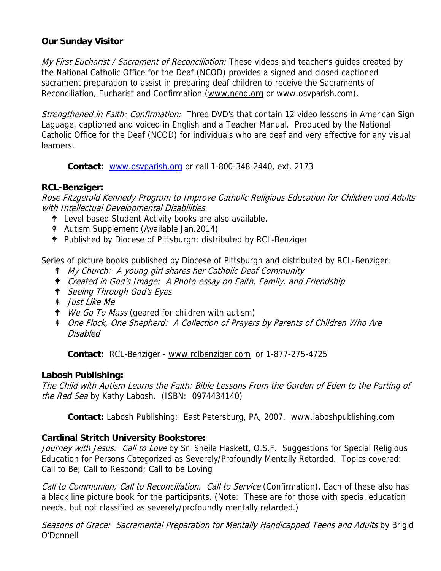## **Our Sunday Visitor**

My First Eucharist / Sacrament of Reconciliation: These videos and teacher's quides created by the National Catholic Office for the Deaf (NCOD) provides a signed and closed captioned sacrament preparation to assist in preparing deaf children to receive the Sacraments of Reconciliation, Eucharist and Confirmation (www.ncod.org or www.osvparish.com).

Strengthened in Faith: Confirmation: Three DVD's that contain 12 video lessons in American Sign Laguage, captioned and voiced in English and a Teacher Manual. Produced by the National Catholic Office for the Deaf (NCOD) for individuals who are deaf and very effective for any visual learners.

**Contact:** www.osvparish.org or call 1-800-348-2440, ext. 2173

#### **RCL-Benziger:**

Rose Fitzgerald Kennedy Program to Improve Catholic Religious Education for Children and Adults with Intellectual Developmental Disabilities.

- Level based Student Activity books are also available.
- Autism Supplement (Available Jan.2014)
- Published by Diocese of Pittsburgh; distributed by RCL-Benziger

Series of picture books published by Diocese of Pittsburgh and distributed by RCL-Benziger:

- My Church: A young girl shares her Catholic Deaf Community
- Created in God's Image: A Photo-essay on Faith, Family, and Friendship
- Seeing Through God's Eyes
- Just Like Me
- **We Go To Mass (geared for children with autism)**
- One Flock, One Shepherd: A Collection of Prayers by Parents of Children Who Are Disabled

**Contact:** RCL-Benziger - www.rclbenziger.comor 1-877-275-4725

#### **Labosh Publishing:**

The Child with Autism Learns the Faith: Bible Lessons From the Garden of Eden to the Parting of the Red Sea by Kathy Labosh. (ISBN: 0974434140)

**Contact:** Labosh Publishing: East Petersburg, PA, 2007. www.laboshpublishing.com

#### **Cardinal Stritch University Bookstore:**

Journey with Jesus: Call to Love by Sr. Sheila Haskett, O.S.F. Suggestions for Special Religious Education for Persons Categorized as Severely/Profoundly Mentally Retarded. Topics covered: Call to Be; Call to Respond; Call to be Loving

Call to Communion; Call to Reconciliation. Call to Service (Confirmation). Each of these also has a black line picture book for the participants. (Note: These are for those with special education needs, but not classified as severely/profoundly mentally retarded.)

Seasons of Grace: Sacramental Preparation for Mentally Handicapped Teens and Adults by Brigid O'Donnell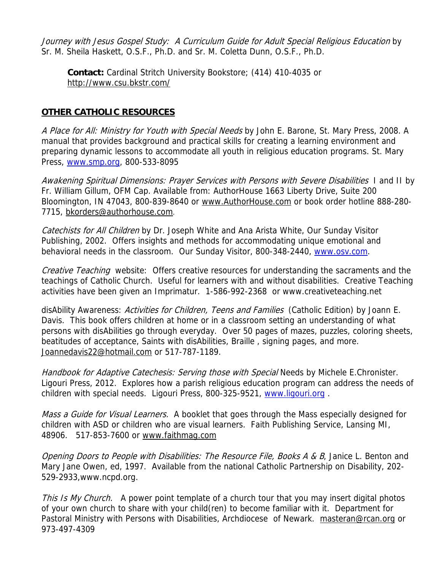Journey with Jesus Gospel Study: A Curriculum Guide for Adult Special Religious Education by Sr. M. Sheila Haskett, O.S.F., Ph.D. and Sr. M. Coletta Dunn, O.S.F., Ph.D.

**Contact:** Cardinal Stritch University Bookstore; (414) 410-4035 or http://www.csu.bkstr.com/

## **OTHER CATHOLIC RESOURCES**

A Place for All: Ministry for Youth with Special Needs by John E. Barone, St. Mary Press, 2008. A manual that provides background and practical skills for creating a learning environment and preparing dynamic lessons to accommodate all youth in religious education programs. St. Mary Press, www.smp.org, 800-533-8095

Awakening Spiritual Dimensions: Prayer Services with Persons with Severe Disabilities I and II by Fr. William Gillum, OFM Cap. Available from: AuthorHouse 1663 Liberty Drive, Suite 200 Bloomington, IN 47043, 800-839-8640 or www.AuthorHouse.com or book order hotline 888-280- 7715, bkorders@authorhouse.com.

Catechists for All Children by Dr. Joseph White and Ana Arista White, Our Sunday Visitor Publishing, 2002. Offers insights and methods for accommodating unique emotional and behavioral needs in the classroom. Our Sunday Visitor, 800-348-2440, www.osv.com.

Creative Teaching website: Offers creative resources for understanding the sacraments and the teachings of Catholic Church. Useful for learners with and without disabilities. Creative Teaching activities have been given an Imprimatur. 1-586-992-2368 or www.creativeteaching.net

disAbility Awareness: Activities for Children, Teens and Families(Catholic Edition) by Joann E. Davis. This book offers children at home or in a classroom setting an understanding of what persons with disAbilities go through everyday. Over 50 pages of mazes, puzzles, coloring sheets, beatitudes of acceptance, Saints with disAbilities, Braille , signing pages, and more. Joannedavis22@hotmail.com or 517-787-1189.

Handbook for Adaptive Catechesis: Serving those with Special Needs by Michele E.Chronister. Ligouri Press, 2012. Explores how a parish religious education program can address the needs of children with special needs. Ligouri Press, 800-325-9521, www.ligouri.org .

Mass a Guide for Visual Learners. A booklet that goes through the Mass especially designed for children with ASD or children who are visual learners. Faith Publishing Service, Lansing MI, 48906. 517-853-7600 or www.faithmag.com

Opening Doors to People with Disabilities: The Resource File, Books A & B, Janice L. Benton and Mary Jane Owen, ed, 1997. Available from the national Catholic Partnership on Disability, 202- 529-2933,www.ncpd.org.

This Is My Church. A power point template of a church tour that you may insert digital photos of your own church to share with your child(ren) to become familiar with it. Department for Pastoral Ministry with Persons with Disabilities, Archdiocese of Newark. masteran@rcan.org or 973-497-4309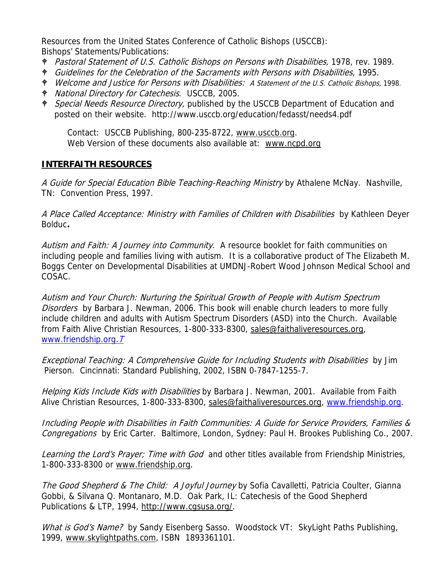Resources from the United States Conference of Catholic Bishops (USCCB): Bishops' Statements/Publications:

- Pastoral Statement of U.S. Catholic Bishops on Persons with Disabilities, 1978, rev. 1989.
- Guidelines for the Celebration of the Sacraments with Persons with Disabilities, 1995.
- Welcome and Justice for Persons with Disabilities: A Statement of the U.S. Catholic Bishops, 1998.
- $\blacklozenge$  National Directory for Catechesis. USCCB, 2005.
- **F** Special Needs Resource Directory, published by the USCCB Department of Education and posted on their website. http://www.usccb.org/education/fedasst/needs4.pdf

Contact: USCCB Publishing, 800-235-8722, www.usccb.org. Web Version of these documents also available at: www.ncpd.org

## **INTERFAITH RESOURCES**

A Guide for Special Education Bible Teaching-Reaching Ministry by Athalene McNay. Nashville, TN: Convention Press, 1997.

A Place Called Acceptance: Ministry with Families of Children with Disabilities by Kathleen Deyer Bolduc**.** 

Autism and Faith: A Journey into Community. A resource booklet for faith communities on including people and families living with autism. It is a collaborative product of The Elizabeth M. Boggs Center on Developmental Disabilities at UMDNJ-Robert Wood Johnson Medical School and COSAC.

Autism and Your Church: Nurturing the Spiritual Growth of People with Autism Spectrum Disorders by Barbara J. Newman, 2006. This book will enable church leaders to more fully include children and adults with Autism Spectrum Disorders (ASD) into the Church. Available from Faith Alive Christian Resources, 1-800-333-8300, sales@faithaliveresources.org, www.friendship.org. T

Exceptional Teaching: A Comprehensive Guide for Including Students with Disabilities by Jim Pierson. Cincinnati: Standard Publishing, 2002, ISBN 0-7847-1255-7.

Helping Kids Include Kids with Disabilities by Barbara J. Newman, 2001. Available from Faith Alive Christian Resources, 1-800-333-8300, sales@faithaliveresources.org, www.friendship.org.

Including People with Disabilities in Faith Communities: A Guide for Service Providers, Families & Congregations by Eric Carter. Baltimore, London, Sydney: Paul H. Brookes Publishing Co., 2007.

Learning the Lord's Prayer; Time with God and other titles available from Friendship Ministries, 1-800-333-8300 or www.friendship.org.

The Good Shepherd & The Child: A Joyful Journey by Sofia Cavalletti, Patricia Coulter, Gianna Gobbi, & Silvana Q. Montanaro, M.D. Oak Park, IL: Catechesis of the Good Shepherd Publications & LTP, 1994, http://www.cgsusa.org/.

What is God's Name? by Sandy Eisenberg Sasso. Woodstock VT: SkyLight Paths Publishing, 1999, www.skylightpaths.com, ISBN 1893361101.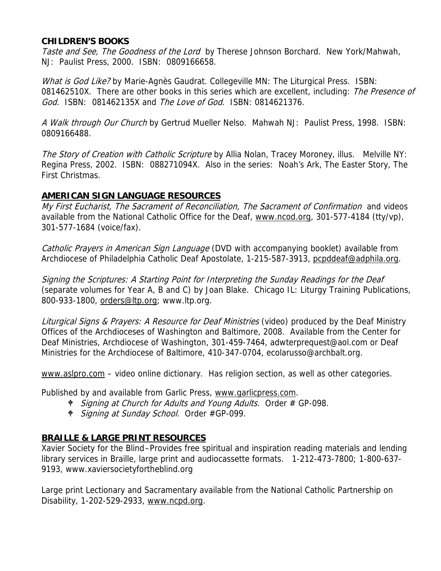#### **CHILDREN'S BOOKS**

Taste and See, The Goodness of the Lord by Therese Johnson Borchard. New York/Mahwah, NJ: Paulist Press, 2000. ISBN: 0809166658.

What is God Like? by Marie-Agnès Gaudrat. Collegeville MN: The Liturgical Press. ISBN: 081462510X. There are other books in this series which are excellent, including: The Presence of God. ISBN: 081462135X and The Love of God. ISBN: 0814621376.

A Walk through Our Church by Gertrud Mueller Nelso. Mahwah NJ: Paulist Press, 1998. ISBN: 0809166488.

The Story of Creation with Catholic Scripture by Allia Nolan, Tracey Moroney, illus. Melville NY: Regina Press, 2002. ISBN: 088271094X. Also in the series: Noah's Ark, The Easter Story, The First Christmas.

#### **AMERICAN SIGN LANGUAGE RESOURCES**

My First Eucharist, The Sacrament of Reconciliation, The Sacrament of Confirmation and videos available from the National Catholic Office for the Deaf, www.ncod.org, 301-577-4184 (tty/vp), 301-577-1684 (voice/fax).

Catholic Prayers in American Sign Language (DVD with accompanying booklet) available from Archdiocese of Philadelphia Catholic Deaf Apostolate, 1-215-587-3913, pcpddeaf@adphila.org.

Signing the Scriptures: A Starting Point for Interpreting the Sunday Readings for the Deaf (separate volumes for Year A, B and C) by Joan Blake. Chicago IL: Liturgy Training Publications, 800-933-1800, orders@ltp.org; www.ltp.org.

Liturgical Signs & Prayers: A Resource for Deaf Ministries (video) produced by the Deaf Ministry Offices of the Archdioceses of Washington and Baltimore, 2008. Available from the Center for Deaf Ministries, Archdiocese of Washington, 301-459-7464, adwterprequest@aol.com or Deaf Ministries for the Archdiocese of Baltimore, 410-347-0704, ecolarusso@archbalt.org.

www.aslpro.com – video online dictionary. Has religion section, as well as other categories.

Published by and available from Garlic Press, www.garlicpress.com.

- $\text{\textsterling}$  Signing at Church for Adults and Young Adults. Order # GP-098.
- $\bullet$  *Signing at Sunday School.* Order #GP-099.

#### **BRAILLE & LARGE PRINT RESOURCES**

Xavier Society for the Blind –Provides free spiritual and inspiration reading materials and lending library services in Braille, large print and audiocassette formats. 1-212-473-7800; 1-800-637- 9193, www.xaviersocietyfortheblind.org

Large print Lectionary and Sacramentary available from the National Catholic Partnership on Disability, 1-202-529-2933, www.ncpd.org.